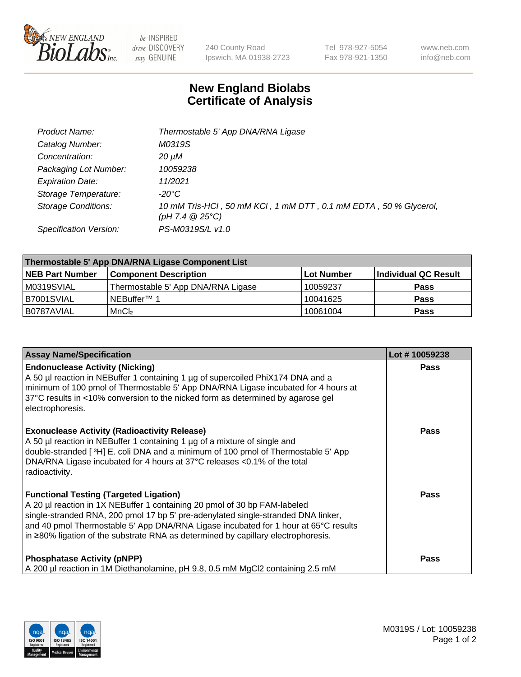

 $be$  INSPIRED drive DISCOVERY stay GENUINE

240 County Road Ipswich, MA 01938-2723 Tel 978-927-5054 Fax 978-921-1350 www.neb.com info@neb.com

## **New England Biolabs Certificate of Analysis**

| Product Name:              | Thermostable 5' App DNA/RNA Ligase                                                    |
|----------------------------|---------------------------------------------------------------------------------------|
| Catalog Number:            | M0319S                                                                                |
| Concentration:             | 20 µM                                                                                 |
| Packaging Lot Number:      | 10059238                                                                              |
| <b>Expiration Date:</b>    | 11/2021                                                                               |
| Storage Temperature:       | -20°C                                                                                 |
| <b>Storage Conditions:</b> | 10 mM Tris-HCl, 50 mM KCl, 1 mM DTT, 0.1 mM EDTA, 50 % Glycerol,<br>(pH 7.4 $@25°C$ ) |
| Specification Version:     | PS-M0319S/L v1.0                                                                      |

| Thermostable 5' App DNA/RNA Ligase Component List |                                    |            |                      |  |
|---------------------------------------------------|------------------------------------|------------|----------------------|--|
| <b>NEB Part Number</b>                            | <b>Component Description</b>       | Lot Number | Individual QC Result |  |
| M0319SVIAL                                        | Thermostable 5' App DNA/RNA Ligase | 10059237   | <b>Pass</b>          |  |
| IB7001SVIAL                                       | INEBuffer™ 1                       | 10041625   | <b>Pass</b>          |  |
| B0787AVIAL                                        | MnCl <sub>2</sub>                  | 10061004   | <b>Pass</b>          |  |

| <b>Assay Name/Specification</b>                                                                                                                                                                                                                                                                                                                                                              | Lot #10059238 |
|----------------------------------------------------------------------------------------------------------------------------------------------------------------------------------------------------------------------------------------------------------------------------------------------------------------------------------------------------------------------------------------------|---------------|
| <b>Endonuclease Activity (Nicking)</b><br>A 50 µl reaction in NEBuffer 1 containing 1 µg of supercoiled PhiX174 DNA and a<br>minimum of 100 pmol of Thermostable 5' App DNA/RNA Ligase incubated for 4 hours at<br>37°C results in <10% conversion to the nicked form as determined by agarose gel<br>electrophoresis.                                                                       | <b>Pass</b>   |
| <b>Exonuclease Activity (Radioactivity Release)</b><br>A 50 µl reaction in NEBuffer 1 containing 1 µg of a mixture of single and<br>double-stranded [3H] E. coli DNA and a minimum of 100 pmol of Thermostable 5' App<br>DNA/RNA Ligase incubated for 4 hours at 37°C releases <0.1% of the total<br>radioactivity.                                                                          | <b>Pass</b>   |
| <b>Functional Testing (Targeted Ligation)</b><br>A 20 µl reaction in 1X NEBuffer 1 containing 20 pmol of 30 bp FAM-labeled<br>single-stranded RNA, 200 pmol 17 bp 5' pre-adenylated single-stranded DNA linker,<br>and 40 pmol Thermostable 5' App DNA/RNA Ligase incubated for 1 hour at 65°C results<br> in ≥80% ligation of the substrate RNA as determined by capillary electrophoresis. | Pass          |
| <b>Phosphatase Activity (pNPP)</b><br>A 200 µl reaction in 1M Diethanolamine, pH 9.8, 0.5 mM MgCl2 containing 2.5 mM                                                                                                                                                                                                                                                                         | Pass          |